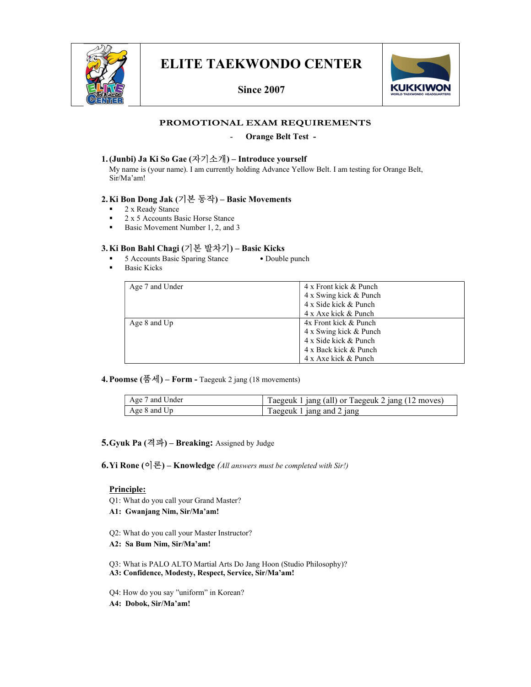

## ELITE TAEKWONDO CENTER

Since 2007



## PROMOTIONAL EXAM REQUIREMENTS

#### - Orange Belt Test -

### 1.(Junbi) Ja Ki So Gae (자기소개) – Introduce yourself

 My name is (your name). I am currently holding Advance Yellow Belt. I am testing for Orange Belt, Sir/Ma'am!

### 2.Ki Bon Dong Jak (기본 동작) – Basic Movements

- 2 x Ready Stance
- $\frac{2 \times 5 \text{ Access}}{2 \times 5 \text{ November}}$  Number 1 2 and
- Basic Movement Number 1, 2, and 3

## 3.Ki Bon Bahl Chagi (기본 발차기) – Basic Kicks

- 5 Accounts Basic Sparing Stance Double punch
- **Basic Kicks**

| Age 7 and Under  | 4 x Front kick & Punch |
|------------------|------------------------|
|                  | 4 x Swing kick & Punch |
|                  | 4 x Side kick & Punch  |
|                  | 4 x Axe kick & Punch   |
| Age $8$ and $Up$ | 4x Front kick & Punch  |
|                  | 4 x Swing kick & Punch |
|                  | 4 x Side kick & Punch  |
|                  | 4 x Back kick & Punch  |
|                  | 4 x Axe kick & Punch   |

4. Poomse  $(\frac{\mathbb{H}}{\mathcal{A}})$  – Form - Taegeuk 2 jang (18 movements)

| Age 7 and Under | Taegeuk 1 jang (all) or Taegeuk 2 jang (12 moves) |
|-----------------|---------------------------------------------------|
| Age 8 and Up    | Taegeuk 1 jang and 2 jang                         |

5. Gyuk Pa  $(\overrightarrow{2} \mathcal{A})$  – Breaking: Assigned by Judge

6.Yi Rone (이론) – Knowledge (All answers must be completed with Sir!)

#### Principle:

- Q1: What do you call your Grand Master?
- A1: Gwanjang Nim, Sir/Ma'am!
- Q2: What do you call your Master Instructor?
- A2: Sa Bum Nim, Sir/Ma'am!

Q3: What is PALO ALTO Martial Arts Do Jang Hoon (Studio Philosophy)? A3: Confidence, Modesty, Respect, Service, Sir/Ma'am!

Q4: How do you say "uniform" in Korean?

A4: Dobok, Sir/Ma'am!